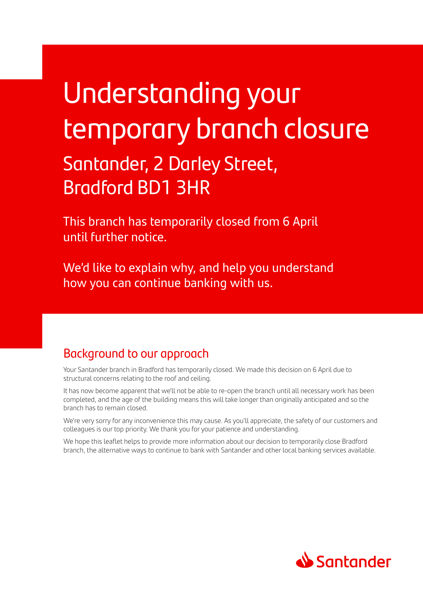# Understanding your temporary branch closure

Santander, 2 Darley Street, Bradford BD1 3HR

This branch has temporarily closed from 6 April until further notice.

We'd like to explain why, and help you understand how you can continue banking with us.

### Background to our approach

Your Santander branch in Bradford has temporarily closed. We made this decision on 6 April due to structural concerns relating to the roof and ceiling.

It has now become apparent that we'll not be able to re-open the branch until all necessary work has been completed, and the age of the building means this will take longer than originally anticipated and so the branch has to remain closed.

We're very sorry for any inconvenience this may cause. As you'll appreciate, the safety of our customers and colleagues is our top priority. We thank you for your patience and understanding.

We hope this leaflet helps to provide more information about our decision to temporarily close Bradford branch, the alternative ways to continue to bank with Santander and other local banking services available.

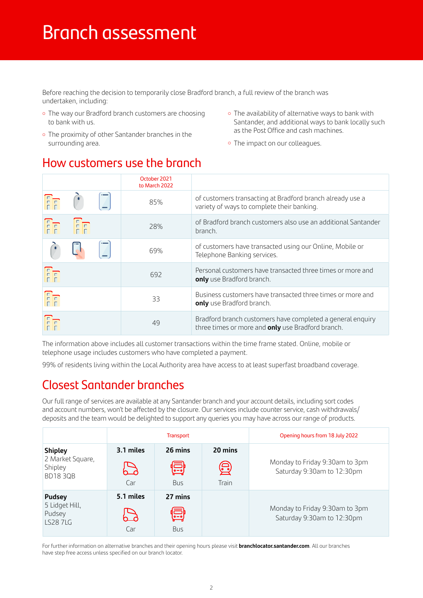## Branch assessment

Before reaching the decision to temporarily close Bradford branch, a full review of the branch was undertaken, including:

- The way our Bradford branch customers are choosing to bank with us.
- The proximity of other Santander branches in the surrounding area.
- The availability of alternative ways to bank with Santander, and additional ways to bank locally such as the Post Office and cash machines.
- The impact on our colleagues.

|                                                        |       | October 2021<br>to March 2022 |                                                                                                                 |
|--------------------------------------------------------|-------|-------------------------------|-----------------------------------------------------------------------------------------------------------------|
| $\begin{bmatrix} 1 \\ 1 \\ 1 \end{bmatrix}$            |       | 85%                           | of customers transacting at Bradford branch already use a<br>variety of ways to complete their banking.         |
|                                                        | Fr Fr | 28%                           | of Bradford branch customers also use an additional Santander<br>branch.                                        |
|                                                        |       | 69%                           | of customers have transacted using our Online, Mobile or<br>Telephone Banking services.                         |
| FF                                                     |       | 692                           | Personal customers have transacted three times or more and<br>only use Bradford branch.                         |
| FF                                                     |       | 33                            | Business customers have transacted three times or more and<br>only use Bradford branch.                         |
| $\begin{array}{c} \boxed{1} \ \boxed{1} \ \end{array}$ |       | 49                            | Bradford branch customers have completed a general enquiry<br>three times or more and only use Bradford branch. |

The information above includes all customer transactions within the time frame stated. Online, mobile or telephone usage includes customers who have completed a payment.

99% of residents living within the Local Authority area have access to at least superfast broadband coverage.

### Closest Santander branches

Our full range of services are available at any Santander branch and your account details, including sort codes and account numbers, won't be affected by the closure. Our services include counter service, cash withdrawals/ deposits and the team would be delighted to support any queries you may have across our range of products.

|                                                                 |                  | <b>Transport</b>      |                  | Opening hours from 18 July 2022                              |  |  |
|-----------------------------------------------------------------|------------------|-----------------------|------------------|--------------------------------------------------------------|--|--|
| <b>Shipley</b><br>2 Market Square,<br>Shipley<br><b>BD183QB</b> | 3.1 miles<br>Car | 26 mins<br>厚<br>Bus   | 20 mins<br>Train | Monday to Friday 9:30am to 3pm<br>Saturday 9:30am to 12:30pm |  |  |
| <b>Pudsey</b><br>5 Lidget Hill,<br>Pudsey<br><b>LS287LG</b>     | 5.1 miles<br>Car | 27 mins<br>أدة<br>Bus |                  | Monday to Friday 9:30am to 3pm<br>Saturday 9:30am to 12:30pm |  |  |

For further information on alternative branches and their opening hours please visit **[branchlocator.santander.com](http://branchlocator.santander.com)**. All our branches have step free access unless specified on our branch locator.

### How customers use the branch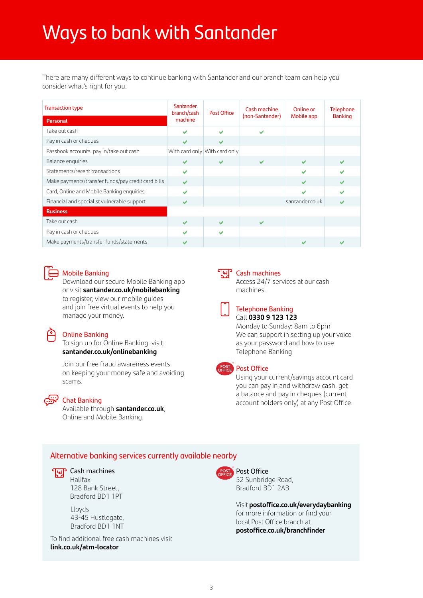# Ways to bank with Santander

There are many different ways to continue banking with Santander and our branch team can help you consider what's right for you.

| <b>Transaction type</b>                            | Santander<br>branch/cash | <b>Post Office</b>            | Cash machine<br>(non-Santander) | Online or<br>Mobile app  | <b>Telephone</b><br><b>Banking</b> |
|----------------------------------------------------|--------------------------|-------------------------------|---------------------------------|--------------------------|------------------------------------|
| <b>Personal</b>                                    | machine                  |                               |                                 |                          |                                    |
| Take out cash                                      | ✔                        | ້                             |                                 |                          |                                    |
| Pay in cash or cheques                             |                          |                               |                                 |                          |                                    |
| Passbook accounts: pay in/take out cash            |                          | With card only With card only |                                 |                          |                                    |
| Balance enquiries                                  |                          |                               |                                 | $\overline{\phantom{0}}$ |                                    |
| Statements/recent transactions                     | ✓                        |                               |                                 | ◡                        |                                    |
| Make payments/transfer funds/pay credit card bills | $\overline{\phantom{0}}$ |                               |                                 | $\overline{\phantom{0}}$ |                                    |
| Card, Online and Mobile Banking enquiries          |                          |                               |                                 | ◡                        |                                    |
| Financial and specialist vulnerable support        | ✔                        |                               |                                 | santander.co.uk          |                                    |
| <b>Business</b>                                    |                          |                               |                                 |                          |                                    |
| Take out cash                                      | $\overline{\mathbf{v}}$  | $\overline{\mathbf{v}}$       | $\checkmark$                    |                          |                                    |
| Pay in cash or cheques                             |                          | u                             |                                 |                          |                                    |
| Make payments/transfer funds/statements            |                          |                               |                                 |                          |                                    |



#### Mobile Banking

 Download our secure Mobile Banking app or visit **[santander.co.uk/mobilebanking](http://santander.co.uk/mobilebanking)**  to register, view our mobile guides and join free virtual events to help you manage your money.

#### Online Banking

 To sign up for Online Banking, visit **[santander.co.uk/onlinebanking](http://santander.co.uk/onlinebanking)**

Join our free fraud awareness events on keeping your money safe and avoiding scams.



#### Chat Banking

Available through **[santander.co.uk](http://santander.co.uk)**, Online and Mobile Banking.

#### Cash machines

 Access 24/7 services at our cash machines.



#### Telephone Banking Call **0330 9 123 123**

Monday to Sunday: 8am to 6pm We can support in setting up your voice as your password and how to use Telephone Banking



#### **POST** Post Office

 Using your current/savings account card you can pay in and withdraw cash, get a balance and pay in cheques (current account holders only) at any Post Office.

#### Alternative banking services currently available nearby

#### Tup Cash machines

Halifax 128 Bank Street, Bradford BD1 1PT

 Lloyds 43-45 Hustlegate, Bradford BD1 1NT

To find additional free cash machines visit **[link.co.uk/atm-locator](http://link.co.uk/atm-locator)**



Post Office 52 Sunbridge Road, Bradford BD1 2AB

 Visit **[postoffice.co.uk/everydaybanking](http://postoffice.co.uk/everydaybanking)** for more information or find your local Post Office branch at **[postoffice.co.uk/branchfinder](http://postoffice.co.uk/branchfinder)**